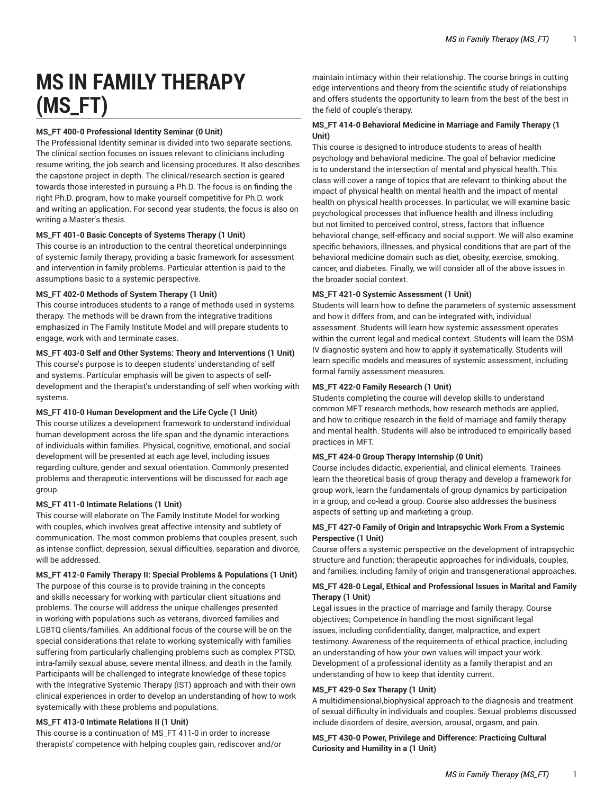# **MS IN FAMILY THERAPY (MS\_FT)**

# **MS\_FT 400-0 Professional Identity Seminar (0 Unit)**

The Professional Identity seminar is divided into two separate sections. The clinical section focuses on issues relevant to clinicians including resume writing, the job search and licensing procedures. It also describes the capstone project in depth. The clinical/research section is geared towards those interested in pursuing a Ph.D. The focus is on finding the right Ph.D. program, how to make yourself competitive for Ph.D. work and writing an application. For second year students, the focus is also on writing a Master's thesis.

## **MS\_FT 401-0 Basic Concepts of Systems Therapy (1 Unit)**

This course is an introduction to the central theoretical underpinnings of systemic family therapy, providing a basic framework for assessment and intervention in family problems. Particular attention is paid to the assumptions basic to a systemic perspective.

#### **MS\_FT 402-0 Methods of System Therapy (1 Unit)**

This course introduces students to a range of methods used in systems therapy. The methods will be drawn from the integrative traditions emphasized in The Family Institute Model and will prepare students to engage, work with and terminate cases.

# **MS\_FT 403-0 Self and Other Systems: Theory and Interventions (1 Unit)**

This course's purpose is to deepen students' understanding of self and systems. Particular emphasis will be given to aspects of selfdevelopment and the therapist's understanding of self when working with systems.

#### **MS\_FT 410-0 Human Development and the Life Cycle (1 Unit)**

This course utilizes a development framework to understand individual human development across the life span and the dynamic interactions of individuals within families. Physical, cognitive, emotional, and social development will be presented at each age level, including issues regarding culture, gender and sexual orientation. Commonly presented problems and therapeutic interventions will be discussed for each age group.

#### **MS\_FT 411-0 Intimate Relations (1 Unit)**

This course will elaborate on The Family Institute Model for working with couples, which involves great affective intensity and subtlety of communication. The most common problems that couples present, such as intense conflict, depression, sexual difficulties, separation and divorce, will be addressed.

#### **MS\_FT 412-0 Family Therapy II: Special Problems & Populations (1 Unit)**

The purpose of this course is to provide training in the concepts and skills necessary for working with particular client situations and problems. The course will address the unique challenges presented in working with populations such as veterans, divorced families and LGBTQ clients/families. An additional focus of the course will be on the special considerations that relate to working systemically with families suffering from particularly challenging problems such as complex PTSD, intra-family sexual abuse, severe mental illness, and death in the family. Participants will be challenged to integrate knowledge of these topics with the Integrative Systemic Therapy (IST) approach and with their own clinical experiences in order to develop an understanding of how to work systemically with these problems and populations.

# **MS\_FT 413-0 Intimate Relations II (1 Unit)**

This course is a continuation of MS\_FT 411-0 in order to increase therapists' competence with helping couples gain, rediscover and/or

maintain intimacy within their relationship. The course brings in cutting edge interventions and theory from the scientific study of relationships and offers students the opportunity to learn from the best of the best in the field of couple's therapy.

## **MS\_FT 414-0 Behavioral Medicine in Marriage and Family Therapy (1 Unit)**

This course is designed to introduce students to areas of health psychology and behavioral medicine. The goal of behavior medicine is to understand the intersection of mental and physical health. This class will cover a range of topics that are relevant to thinking about the impact of physical health on mental health and the impact of mental health on physical health processes. In particular, we will examine basic psychological processes that influence health and illness including but not limited to perceived control, stress, factors that influence behavioral change, self-efficacy and social support. We will also examine specific behaviors, illnesses, and physical conditions that are part of the behavioral medicine domain such as diet, obesity, exercise, smoking, cancer, and diabetes. Finally, we will consider all of the above issues in the broader social context.

## **MS\_FT 421-0 Systemic Assessment (1 Unit)**

Students will learn how to define the parameters of systemic assessment and how it differs from, and can be integrated with, individual assessment. Students will learn how systemic assessment operates within the current legal and medical context. Students will learn the DSM-IV diagnostic system and how to apply it systematically. Students will learn specific models and measures of systemic assessment, including formal family assessment measures.

## **MS\_FT 422-0 Family Research (1 Unit)**

Students completing the course will develop skills to understand common MFT research methods, how research methods are applied, and how to critique research in the field of marriage and family therapy and mental health. Students will also be introduced to empirically based practices in MFT.

#### **MS\_FT 424-0 Group Therapy Internship (0 Unit)**

Course includes didactic, experiential, and clinical elements. Trainees learn the theoretical basis of group therapy and develop a framework for group work, learn the fundamentals of group dynamics by participation in a group, and co-lead a group. Course also addresses the business aspects of setting up and marketing a group.

## **MS\_FT 427-0 Family of Origin and Intrapsychic Work From a Systemic Perspective (1 Unit)**

Course offers a systemic perspective on the development of intrapsychic structure and function; therapeutic approaches for individuals, couples, and families, including family of origin and transgenerational approaches.

## **MS\_FT 428-0 Legal, Ethical and Professional Issues in Marital and Family Therapy (1 Unit)**

Legal issues in the practice of marriage and family therapy. Course objectives; Competence in handling the most significant legal issues, including confidentiality, danger, malpractice, and expert testimony. Awareness of the requirements of ethical practice, including an understanding of how your own values will impact your work. Development of a professional identity as a family therapist and an understanding of how to keep that identity current.

# **MS\_FT 429-0 Sex Therapy (1 Unit)**

A multidimensional,biophysical approach to the diagnosis and treatment of sexual difficulty in individuals and couples. Sexual problems discussed include disorders of desire, aversion, arousal, orgasm, and pain.

**MS\_FT 430-0 Power, Privilege and Difference: Practicing Cultural Curiosity and Humility in a (1 Unit)**